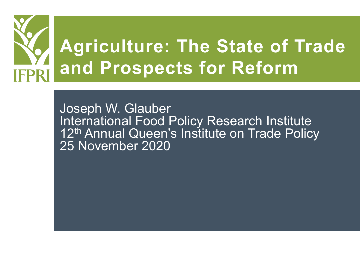

Joseph W. Glauber International Food Policy Research Institute 12<sup>th</sup> Annual Queen's Institute on Trade Policy 25 November 2020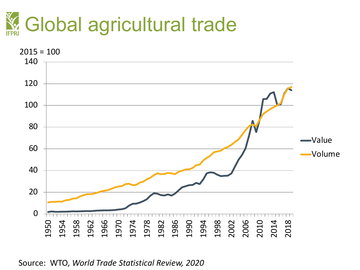



Source: WTO, *World Trade Statistical Review, 2020*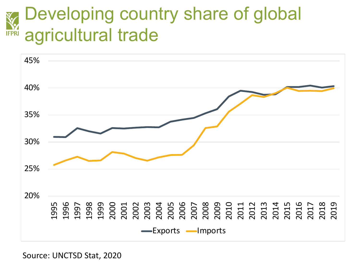#### Developing country share of global **NY**<br>IFPRI agricultural trade



Source: UNCTSD Stat, 2020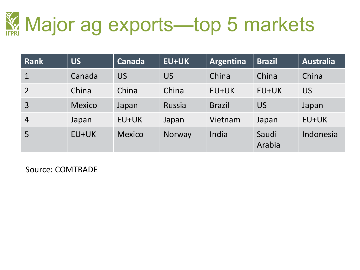

| Rank           | <b>US</b>     | Canada        | <b>EU+UK</b>  | Argentina     | <b>Brazil</b>   | <b>Australia</b> |
|----------------|---------------|---------------|---------------|---------------|-----------------|------------------|
|                | Canada        | <b>US</b>     | US            | China         | China           | China            |
| $\overline{2}$ | China         | China         | China         | EU+UK         | $EU+UK$         | <b>US</b>        |
| $\overline{3}$ | <b>Mexico</b> | Japan         | <b>Russia</b> | <b>Brazil</b> | <b>US</b>       | Japan            |
| $\overline{4}$ | Japan         | EU+UK         | Japan         | Vietnam       | Japan           | EU+UK            |
| 5              | EU+UK         | <b>Mexico</b> | Norway        | India         | Saudi<br>Arabia | Indonesia        |

Source: COMTRADE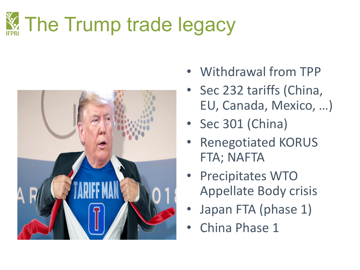# The Trump trade legacy



- Withdrawal from TPP
- Sec 232 tariffs (China, EU, Canada, Mexico, …)
- Sec 301 (China)
- Renegotiated KORUS FTA; NAFTA
- Precipitates WTO Appellate Body crisis
- Japan FTA (phase 1)
- China Phase 1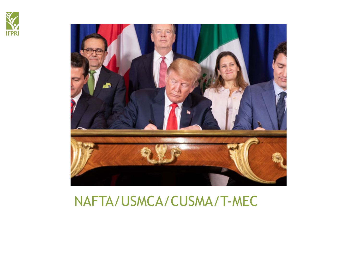



### NAFTA/USMCA/CUSMA/T-MEC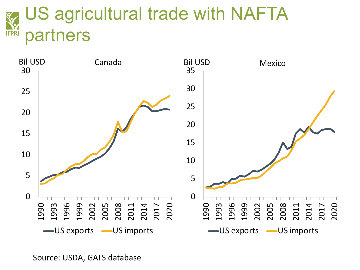#### US agricultural trade with NAFTA **IFPRI** partners



Source: USDA, GATS database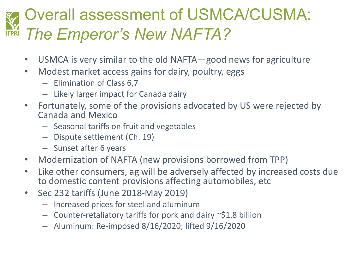## Overall assessment of USMCA/CUSMA: *The Emperor's New NAFTA?*

- USMCA is very similar to the old NAFTA—good news for agriculture
- Modest market access gains for dairy, poultry, eggs
	- Elimination of Class 6,7
	- Likely larger impact for Canada dairy
- Fortunately, some of the provisions advocated by US were rejected by Canada and Mexico
	- Seasonal tariffs on fruit and vegetables
	- Dispute settlement (Ch. 19)
	- Sunset after 6 years
- Modernization of NAFTA (new provisions borrowed from TPP)
- Like other consumers, ag will be adversely affected by increased costs due to domestic content provisions affecting automobiles, etc
- Sec 232 tariffs (June 2018-May 2019)
	- Increased prices for steel and aluminum
	- $-$  Counter-retaliatory tariffs for pork and dairy  $\sim$ \$1.8 billion
	- Aluminum: Re-imposed 8/16/2020; lifted 9/16/2020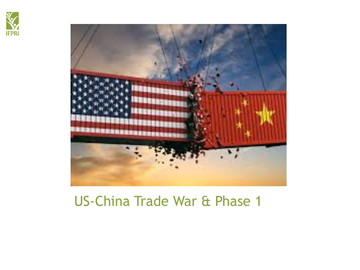



### US-China Trade War & Phase 1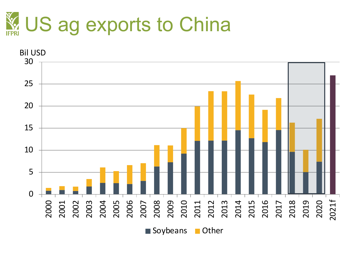

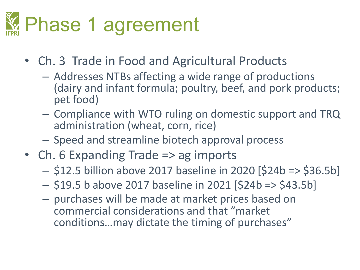# Phase 1 agreement

- Ch. 3 Trade in Food and Agricultural Products
	- Addresses NTBs affecting a wide range of productions (dairy and infant formula; poultry, beef, and pork products; pet food)
	- Compliance with WTO ruling on domestic support and TRQ administration (wheat, corn, rice)
	- Speed and streamline biotech approval process
- Ch. 6 Expanding Trade => ag imports
	- \$12.5 billion above 2017 baseline in 2020 [\$24b => \$36.5b]
	- \$19.5 b above 2017 baseline in 2021 [\$24b => \$43.5b]
	- purchases will be made at market prices based on commercial considerations and that "market conditions…may dictate the timing of purchases"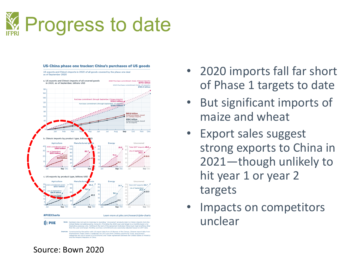



- 2020 imports fall far short of Phase 1 targets to date
- But significant imports of maize and wheat
- Export sales suggest strong exports to China in 2021—though unlikely to hit year 1 or year 2 targets
- Impacts on competitors unclear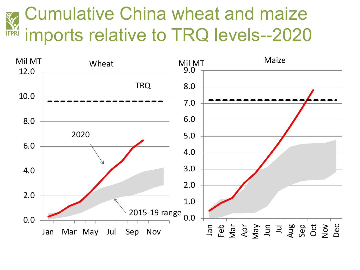#### Cumulative China wheat and maize **IFPRI** imports relative to TRQ levels--2020

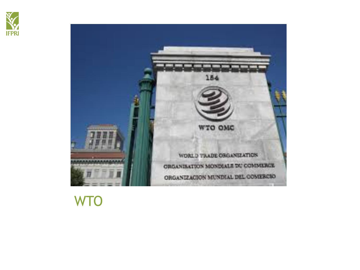



### **WTO**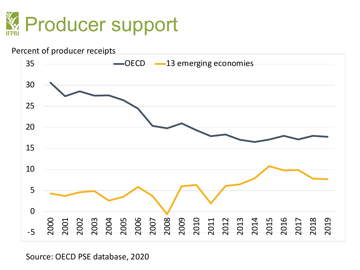



Source: OECD PSE database, 2020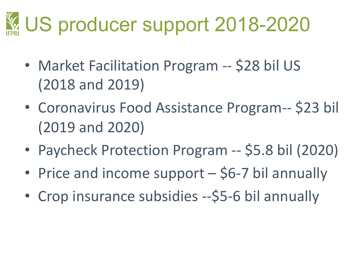## US producer support 2018-2020

- Market Facilitation Program -- \$28 bil US (2018 and 2019)
- Coronavirus Food Assistance Program-- \$23 bil (2019 and 2020)
- Paycheck Protection Program -- \$5.8 bil (2020)
- Price and income support \$6-7 bil annually
- Crop insurance subsidies --\$5-6 bil annually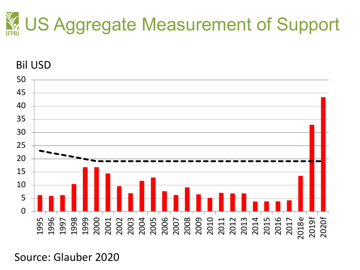



Source: Glauber 2020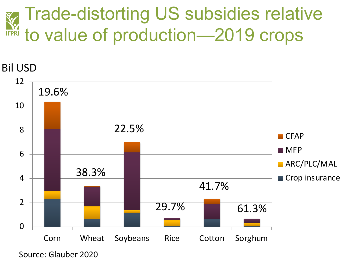#### Trade-distorting US subsidies relative **ANY** to value of production—2019 crops

#### Bil USD



Source: Glauber 2020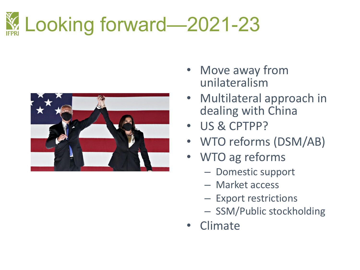## **Ex. Looking forward—2021-23**



- Move away from unilateralism
- Multilateral approach in dealing with China
- US & CPTPP?
- WTO reforms (DSM/AB)
- WTO ag reforms
	- Domestic support
	- Market access
	- Export restrictions
	- SSM/Public stockholding
- Climate